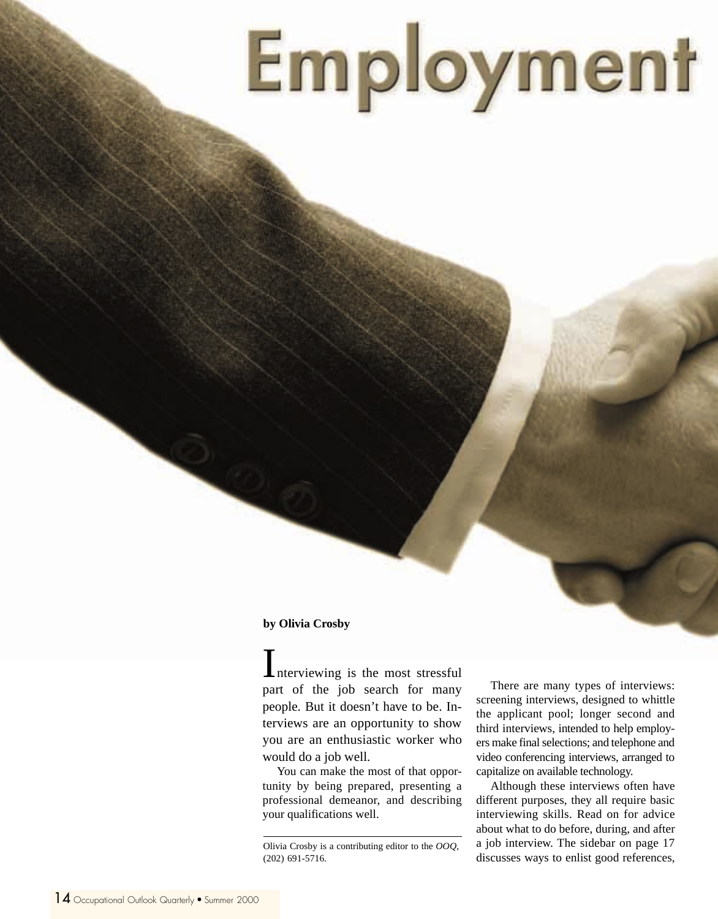# Employment

#### **by Olivia Crosby**

Interviewing is the most stressful part of the job search for many people. But it doesn't have to be. Interviews are an opportunity to show you are an enthusiastic worker who would do a job well.

You can make the most of that opportunity by being prepared, presenting a professional demeanor, and describing your qualifications well.

There are many types of interviews: screening interviews, designed to whittle the applicant pool; longer second and third interviews, intended to help employers make final selections; and telephone and video conferencing interviews, arranged to capitalize on available technology.

Although these interviews often have different purposes, they all require basic interviewing skills. Read on for advice about what to do before, during, and after a job interview. The sidebar on page 17 discusses ways to enlist good references,

Olivia Crosby is a contributing editor to the *OOQ*, (202) 691-5716.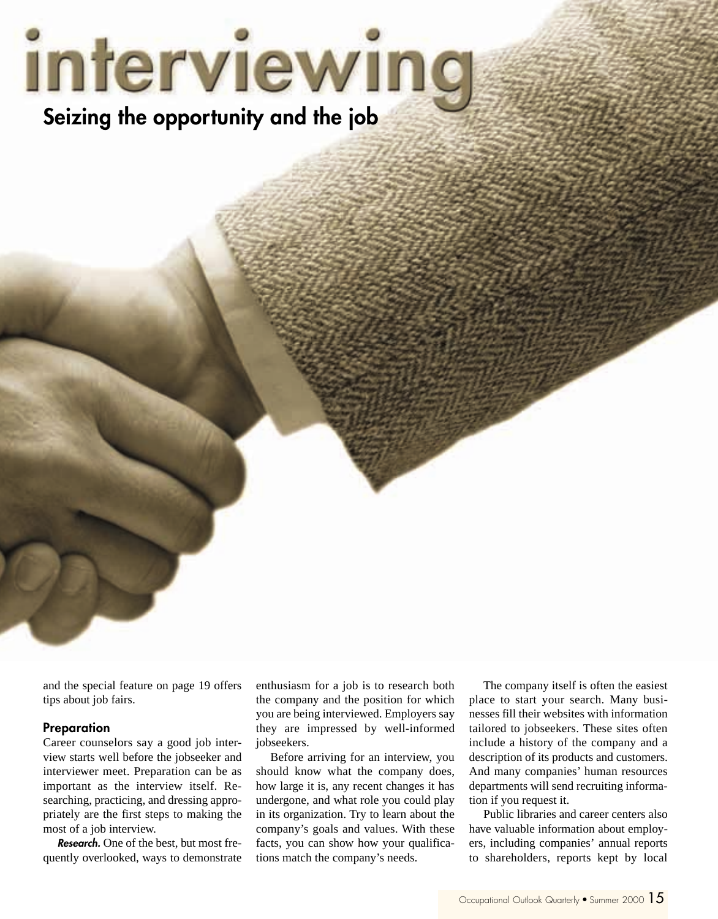# interviewing **Seizing the opportunity and the job**

and the special feature on page 19 offers tips about job fairs.

#### **Preparation**

Career counselors say a good job interview starts well before the jobseeker and interviewer meet. Preparation can be as important as the interview itself. Researching, practicing, and dressing appropriately are the first steps to making the most of a job interview.

**Research.** One of the best, but most frequently overlooked, ways to demonstrate enthusiasm for a job is to research both the company and the position for which you are being interviewed. Employers say they are impressed by well-informed jobseekers.

Before arriving for an interview, you should know what the company does, how large it is, any recent changes it has undergone, and what role you could play in its organization. Try to learn about the company's goals and values. With these facts, you can show how your qualifications match the company's needs.

The company itself is often the easiest place to start your search. Many businesses fill their websites with information tailored to jobseekers. These sites often include a history of the company and a description of its products and customers. And many companies' human resources departments will send recruiting information if you request it.

Public libraries and career centers also have valuable information about employers, including companies' annual reports to shareholders, reports kept by local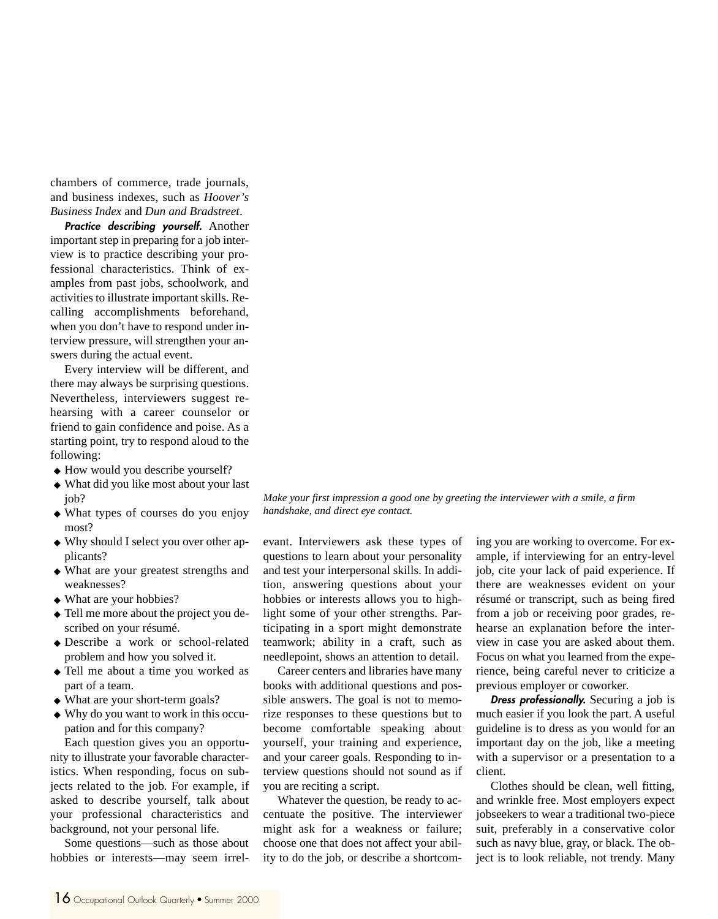chambers of commerce, trade journals, and business indexes, such as *Hoover's Business Index* and *Dun and Bradstreet*.

**Practice describing yourself.** Another important step in preparing for a job interview is to practice describing your professional characteristics. Think of examples from past jobs, schoolwork, and activities to illustrate important skills. Recalling accomplishments beforehand, when you don't have to respond under interview pressure, will strengthen your answers during the actual event.

Every interview will be different, and there may always be surprising questions. Nevertheless, interviewers suggest rehearsing with a career counselor or friend to gain confidence and poise. As a starting point, try to respond aloud to the following:

- ◆ How would you describe yourself?
- ◆ What did you like most about your last job?
- ◆ What types of courses do you enjoy most?
- ◆ Why should I select you over other applicants?
- ◆ What are your greatest strengths and weaknesses?
- ◆ What are your hobbies?
- ◆ Tell me more about the project you described on your résumé.
- ◆ Describe a work or school-related problem and how you solved it.
- ◆ Tell me about a time you worked as part of a team.
- ◆ What are your short-term goals?
- ◆ Why do you want to work in this occupation and for this company?

Each question gives you an opportunity to illustrate your favorable characteristics. When responding, focus on subjects related to the job. For example, if asked to describe yourself, talk about your professional characteristics and background, not your personal life.

Some questions—such as those about hobbies or interests—may seem irrelevant. Interviewers ask these types of questions to learn about your personality and test your interpersonal skills. In addition, answering questions about your hobbies or interests allows you to highlight some of your other strengths. Participating in a sport might demonstrate teamwork; ability in a craft, such as needlepoint, shows an attention to detail.

Career centers and libraries have many books with additional questions and possible answers. The goal is not to memorize responses to these questions but to become comfortable speaking about yourself, your training and experience, and your career goals. Responding to interview questions should not sound as if you are reciting a script.

Whatever the question, be ready to accentuate the positive. The interviewer might ask for a weakness or failure; choose one that does not affect your ability to do the job, or describe a shortcoming you are working to overcome. For example, if interviewing for an entry-level job, cite your lack of paid experience. If there are weaknesses evident on your résumé or transcript, such as being fired from a job or receiving poor grades, rehearse an explanation before the interview in case you are asked about them. Focus on what you learned from the experience, being careful never to criticize a previous employer or coworker.

**Dress professionally.** Securing a job is much easier if you look the part. A useful guideline is to dress as you would for an important day on the job, like a meeting with a supervisor or a presentation to a client.

Clothes should be clean, well fitting, and wrinkle free. Most employers expect jobseekers to wear a traditional two-piece suit, preferably in a conservative color such as navy blue, gray, or black. The object is to look reliable, not trendy. Many

*Make your first impression a good one by greeting the interviewer with a smile, a firm handshake, and direct eye contact.*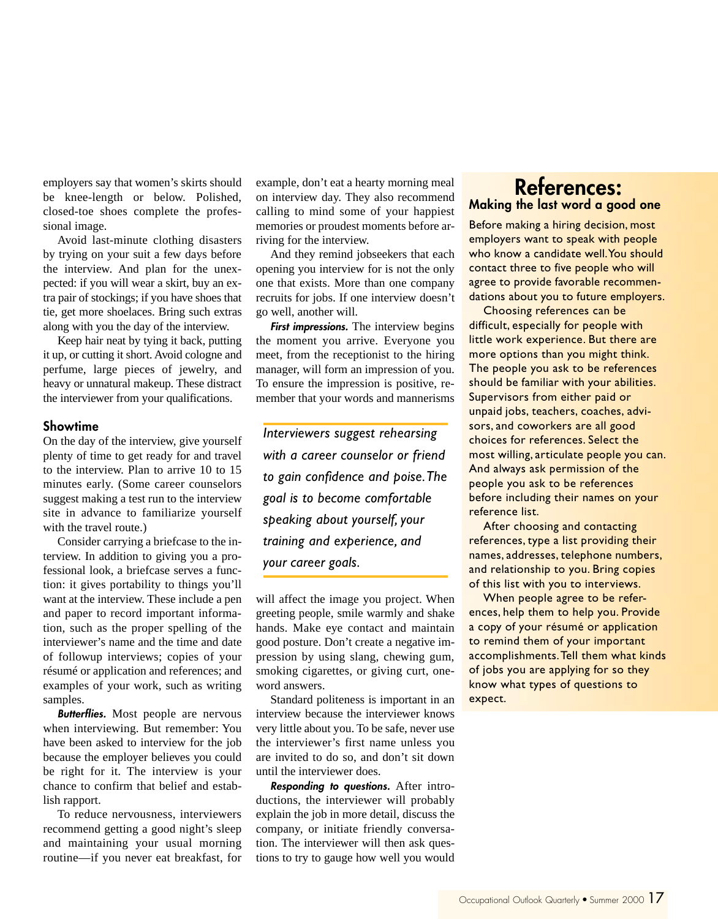employers say that women's skirts should be knee-length or below. Polished, closed-toe shoes complete the professional image.

Avoid last-minute clothing disasters by trying on your suit a few days before the interview. And plan for the unexpected: if you will wear a skirt, buy an extra pair of stockings; if you have shoes that tie, get more shoelaces. Bring such extras along with you the day of the interview.

Keep hair neat by tying it back, putting it up, or cutting it short. Avoid cologne and perfume, large pieces of jewelry, and heavy or unnatural makeup. These distract the interviewer from your qualifications.

#### **Showtime**

On the day of the interview, give yourself plenty of time to get ready for and travel to the interview. Plan to arrive 10 to 15 minutes early. (Some career counselors suggest making a test run to the interview site in advance to familiarize yourself with the travel route.)

Consider carrying a briefcase to the interview. In addition to giving you a professional look, a briefcase serves a function: it gives portability to things you'll want at the interview. These include a pen and paper to record important information, such as the proper spelling of the interviewer's name and the time and date of followup interviews; copies of your résumé or application and references; and examples of your work, such as writing samples.

**Butterflies.** Most people are nervous when interviewing. But remember: You have been asked to interview for the job because the employer believes you could be right for it. The interview is your chance to confirm that belief and establish rapport.

To reduce nervousness, interviewers recommend getting a good night's sleep and maintaining your usual morning routine—if you never eat breakfast, for

example, don't eat a hearty morning meal on interview day. They also recommend calling to mind some of your happiest memories or proudest moments before arriving for the interview.

And they remind jobseekers that each opening you interview for is not the only one that exists. More than one company recruits for jobs. If one interview doesn't go well, another will.

**First impressions.** The interview begins the moment you arrive. Everyone you meet, from the receptionist to the hiring manager, will form an impression of you. To ensure the impression is positive, remember that your words and mannerisms

*Interviewers suggest rehearsing with a career counselor or friend to gain confidence and poise. The goal is to become comfortable speaking about yourself, your training and experience, and your career goals.*

will affect the image you project. When greeting people, smile warmly and shake hands. Make eye contact and maintain good posture. Don't create a negative impression by using slang, chewing gum, smoking cigarettes, or giving curt, oneword answers.

Standard politeness is important in an interview because the interviewer knows very little about you. To be safe, never use the interviewer's first name unless you are invited to do so, and don't sit down until the interviewer does.

**Responding to questions.** After introductions, the interviewer will probably explain the job in more detail, discuss the company, or initiate friendly conversation. The interviewer will then ask questions to try to gauge how well you would

#### **References: Making the last word a good one**

Before making a hiring decision, most employers want to speak with people who know a candidate well. You should contact three to five people who will agree to provide favorable recommendations about you to future employers.

Choosing references can be difficult, especially for people with little work experience. But there are more options than you might think. The people you ask to be references should be familiar with your abilities. Supervisors from either paid or unpaid jobs, teachers, coaches, advisors, and coworkers are all good choices for references. Select the most willing, articulate people you can. And always ask permission of the people you ask to be references before including their names on your reference list.

After choosing and contacting references, type a list providing their names, addresses, telephone numbers, and relationship to you. Bring copies of this list with you to interviews.

When people agree to be references, help them to help you. Provide a copy of your résumé or application to remind them of your important accomplishments. Tell them what kinds of jobs you are applying for so they know what types of questions to expect.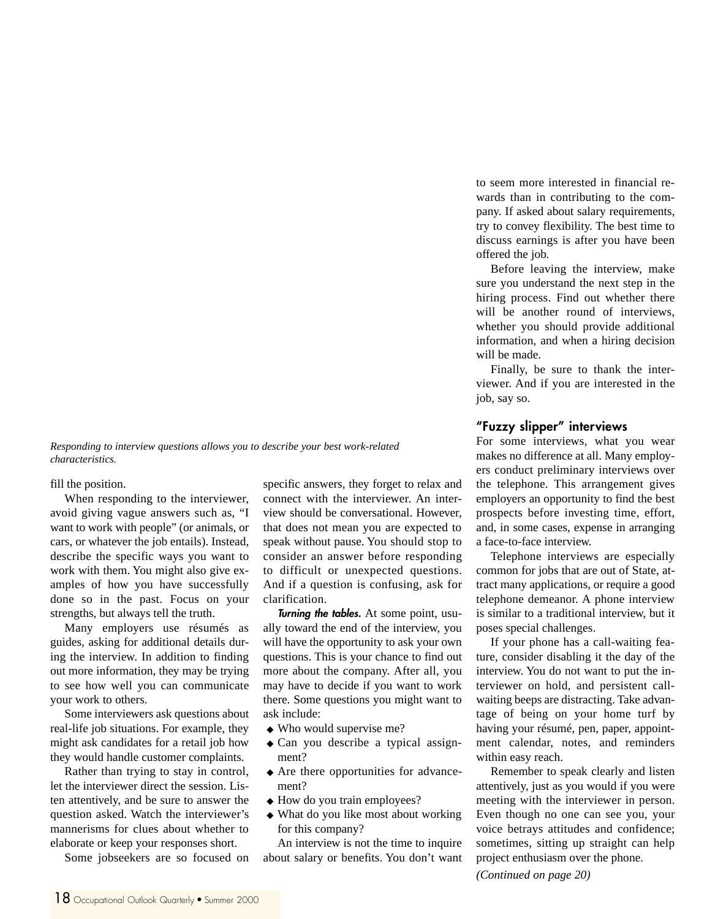*Responding to interview questions allows you to describe your best work-related characteristics.*

fill the position.

When responding to the interviewer, avoid giving vague answers such as, "I want to work with people" (or animals, or cars, or whatever the job entails). Instead, describe the specific ways you want to work with them. You might also give examples of how you have successfully done so in the past. Focus on your strengths, but always tell the truth.

Many employers use résumés as guides, asking for additional details during the interview. In addition to finding out more information, they may be trying to see how well you can communicate your work to others.

Some interviewers ask questions about real-life job situations. For example, they might ask candidates for a retail job how they would handle customer complaints.

Rather than trying to stay in control, let the interviewer direct the session. Listen attentively, and be sure to answer the question asked. Watch the interviewer's mannerisms for clues about whether to elaborate or keep your responses short.

Some jobseekers are so focused on

specific answers, they forget to relax and connect with the interviewer. An interview should be conversational. However, that does not mean you are expected to speak without pause. You should stop to consider an answer before responding to difficult or unexpected questions. And if a question is confusing, ask for clarification.

**Turning the tables.** At some point, usually toward the end of the interview, you will have the opportunity to ask your own questions. This is your chance to find out more about the company. After all, you may have to decide if you want to work there. Some questions you might want to ask include:

- ◆ Who would supervise me?
- ◆ Can you describe a typical assignment?
- ◆ Are there opportunities for advancement?
- ◆ How do you train employees?
- ◆ What do you like most about working for this company?

An interview is not the time to inquire about salary or benefits. You don't want

to seem more interested in financial rewards than in contributing to the company. If asked about salary requirements, try to convey flexibility. The best time to discuss earnings is after you have been offered the job.

Before leaving the interview, make sure you understand the next step in the hiring process. Find out whether there will be another round of interviews, whether you should provide additional information, and when a hiring decision will be made.

Finally, be sure to thank the interviewer. And if you are interested in the job, say so.

#### **"Fuzzy slipper" interviews**

For some interviews, what you wear makes no difference at all. Many employers conduct preliminary interviews over the telephone. This arrangement gives employers an opportunity to find the best prospects before investing time, effort, and, in some cases, expense in arranging a face-to-face interview.

Telephone interviews are especially common for jobs that are out of State, attract many applications, or require a good telephone demeanor. A phone interview is similar to a traditional interview, but it poses special challenges.

If your phone has a call-waiting feature, consider disabling it the day of the interview. You do not want to put the interviewer on hold, and persistent callwaiting beeps are distracting. Take advantage of being on your home turf by having your résumé, pen, paper, appointment calendar, notes, and reminders within easy reach.

Remember to speak clearly and listen attentively, just as you would if you were meeting with the interviewer in person. Even though no one can see you, your voice betrays attitudes and confidence; sometimes, sitting up straight can help project enthusiasm over the phone.

*(Continued on page 20)*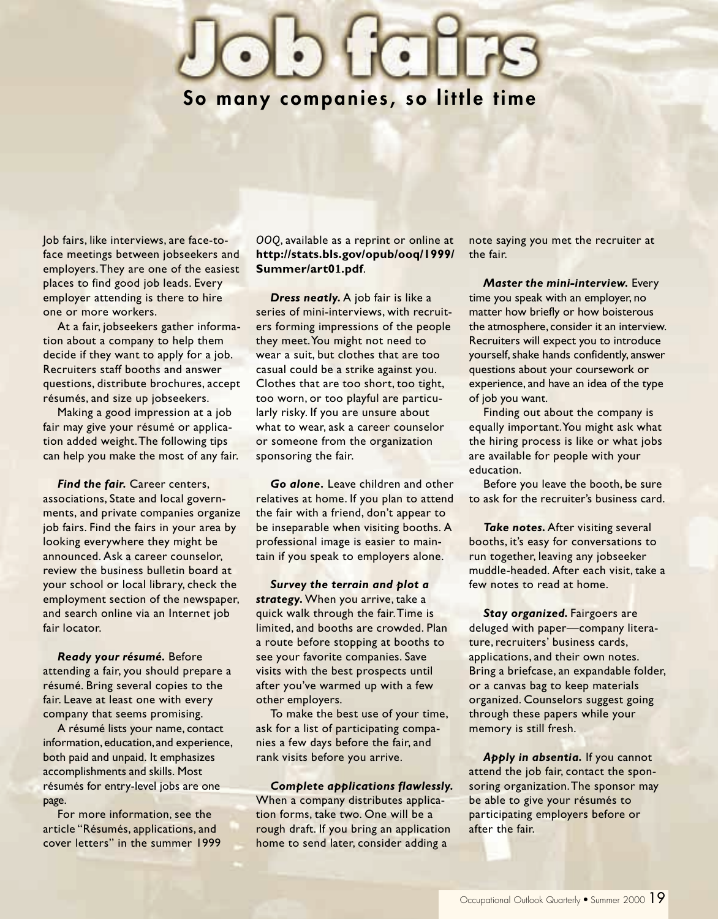### **So many companies, so little time**

Job fairs, like interviews, are face-toface meetings between jobseekers and employers. They are one of the easiest places to find good job leads. Every employer attending is there to hire one or more workers.

At a fair, jobseekers gather information about a company to help them decide if they want to apply for a job. Recruiters staff booths and answer questions, distribute brochures, accept résumés, and size up jobseekers.

Making a good impression at a job fair may give your résumé or application added weight. The following tips can help you make the most of any fair.

*Find the fair.* Career centers, associations, State and local governments, and private companies organize job fairs. Find the fairs in your area by looking everywhere they might be announced. Ask a career counselor, review the business bulletin board at your school or local library, check the employment section of the newspaper, and search online via an Internet job fair locator.

*Ready your résumé.* Before attending a fair, you should prepare a résumé. Bring several copies to the fair. Leave at least one with every company that seems promising.

A résumé lists your name, contact information, education, and experience, both paid and unpaid. It emphasizes accomplishments and skills. Most résumés for entry-level jobs are one page.

For more information, see the article "Résumés, applications, and cover letters" in the summer 1999 *OOQ*, available as a reprint or online at **http://stats.bls.gov/opub/ooq/1999/ Summer/art01.pdf**.

*Dress neatly.* A job fair is like a series of mini-interviews, with recruiters forming impressions of the people they meet. You might not need to wear a suit, but clothes that are too casual could be a strike against you. Clothes that are too short, too tight, too worn, or too playful are particularly risky. If you are unsure about what to wear, ask a career counselor or someone from the organization sponsoring the fair.

*Go alone.* Leave children and other relatives at home. If you plan to attend the fair with a friend, don't appear to be inseparable when visiting booths. A professional image is easier to maintain if you speak to employers alone.

*Survey the terrain and plot a strategy.* When you arrive, take a quick walk through the fair. Time is limited, and booths are crowded. Plan a route before stopping at booths to see your favorite companies. Save visits with the best prospects until after you've warmed up with a few other employers.

To make the best use of your time, ask for a list of participating companies a few days before the fair, and rank visits before you arrive.

*Complete applications flawlessly.* When a company distributes application forms, take two. One will be a rough draft. If you bring an application home to send later, consider adding a

note saying you met the recruiter at the fair.

*Master the mini-interview.* Every time you speak with an employer, no matter how briefly or how boisterous the atmosphere, consider it an interview. Recruiters will expect you to introduce yourself, shake hands confidently, answer questions about your coursework or experience, and have an idea of the type of job you want.

Finding out about the company is equally important. You might ask what the hiring process is like or what jobs are available for people with your education.

Before you leave the booth, be sure to ask for the recruiter's business card.

*Take notes.* After visiting several booths, it's easy for conversations to run together, leaving any jobseeker muddle-headed. After each visit, take a few notes to read at home.

**Stay organized.** Fairgoers are deluged with paper—company literature, recruiters' business cards, applications, and their own notes. Bring a briefcase, an expandable folder, or a canvas bag to keep materials organized. Counselors suggest going through these papers while your memory is still fresh.

*Apply in absentia.* If you cannot attend the job fair, contact the sponsoring organization. The sponsor may be able to give your résumés to participating employers before or after the fair.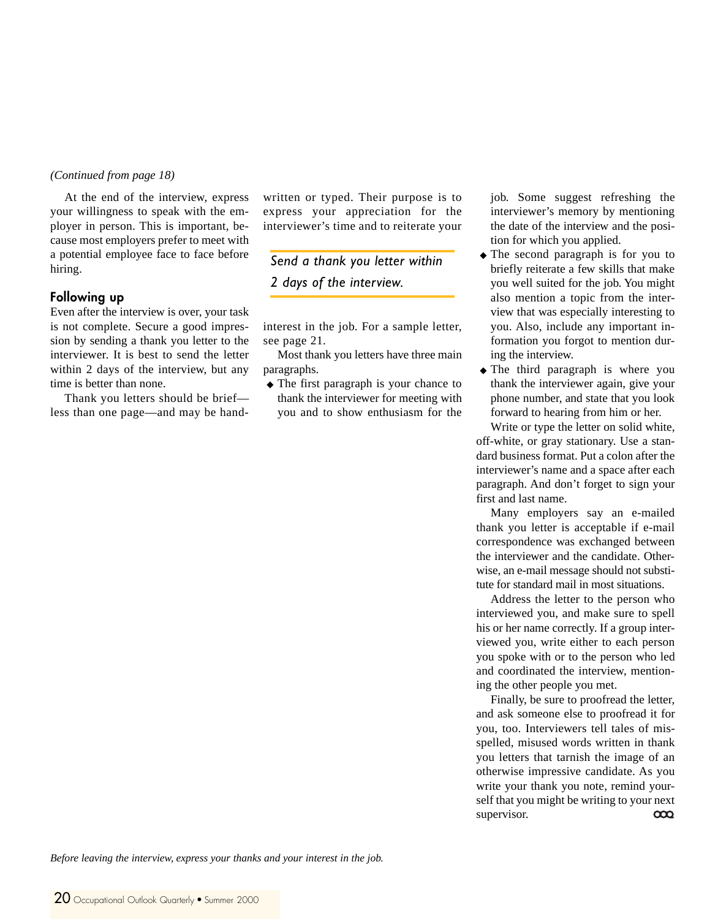#### *(Continued from page 18)*

At the end of the interview, express your willingness to speak with the employer in person. This is important, because most employers prefer to meet with a potential employee face to face before hiring.

#### **Following up**

Even after the interview is over, your task is not complete. Secure a good impression by sending a thank you letter to the interviewer. It is best to send the letter within 2 days of the interview, but any time is better than none.

Thank you letters should be brief less than one page—and may be handwritten or typed. Their purpose is to express your appreciation for the interviewer's time and to reiterate your

*Send a thank you letter within 2 days of the interview.*

interest in the job. For a sample letter, see page 21.

Most thank you letters have three main paragraphs.

◆ The first paragraph is your chance to thank the interviewer for meeting with you and to show enthusiasm for the

job. Some suggest refreshing the interviewer's memory by mentioning the date of the interview and the position for which you applied.

- ◆ The second paragraph is for you to briefly reiterate a few skills that make you well suited for the job. You might also mention a topic from the interview that was especially interesting to you. Also, include any important information you forgot to mention during the interview.
- ◆ The third paragraph is where you thank the interviewer again, give your phone number, and state that you look forward to hearing from him or her.

Write or type the letter on solid white, off-white, or gray stationary. Use a standard business format. Put a colon after the interviewer's name and a space after each paragraph. And don't forget to sign your first and last name.

Many employers say an e-mailed thank you letter is acceptable if e-mail correspondence was exchanged between the interviewer and the candidate. Otherwise, an e-mail message should not substitute for standard mail in most situations.

Address the letter to the person who interviewed you, and make sure to spell his or her name correctly. If a group interviewed you, write either to each person you spoke with or to the person who led and coordinated the interview, mentioning the other people you met.

Finally, be sure to proofread the letter, and ask someone else to proofread it for you, too. Interviewers tell tales of misspelled, misused words written in thank you letters that tarnish the image of an otherwise impressive candidate. As you write your thank you note, remind yourself that you might be writing to your next supervisor.  $\infty$ 

*Before leaving the interview, express your thanks and your interest in the job.*